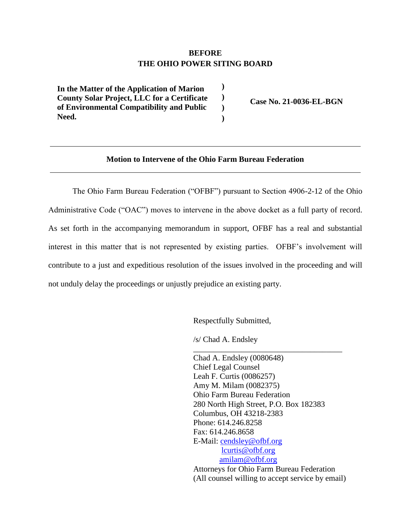## **BEFORE THE OHIO POWER SITING BOARD**

**) ) ) )**

**) In the Matter of the Application of Marion County Solar Project, LLC for a Certificate of Environmental Compatibility and Public Need.**

**Case No. 21-0036-EL-BGN**

# **Motion to Intervene of the Ohio Farm Bureau Federation**

The Ohio Farm Bureau Federation ("OFBF") pursuant to Section 4906-2-12 of the Ohio Administrative Code ("OAC") moves to intervene in the above docket as a full party of record. As set forth in the accompanying memorandum in support, OFBF has a real and substantial interest in this matter that is not represented by existing parties. OFBF's involvement will contribute to a just and expeditious resolution of the issues involved in the proceeding and will not unduly delay the proceedings or unjustly prejudice an existing party.

Respectfully Submitted,

/s/ Chad A. Endsley

Chad A. Endsley (0080648) Chief Legal Counsel Leah F. Curtis (0086257) Amy M. Milam (0082375) Ohio Farm Bureau Federation 280 North High Street, P.O. Box 182383 Columbus, OH 43218-2383 Phone: 614.246.8258 Fax: 614.246.8658 E-Mail: [cendsley@ofbf.org](mailto:LGearhardt@ofbf.org) [lcurtis@ofbf.org](mailto:lcurtis@ofbf.org) [amilam@ofbf.org](mailto:amilam@ofbf.org) Attorneys for Ohio Farm Bureau Federation

\_\_\_\_\_\_\_\_\_\_\_\_\_\_\_\_\_\_\_\_\_\_\_\_\_\_\_\_\_\_\_\_\_\_\_\_\_

(All counsel willing to accept service by email)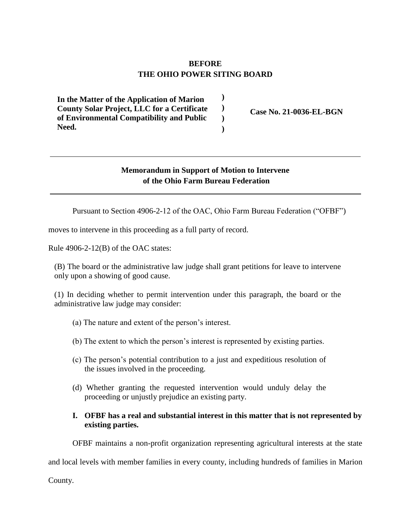# **BEFORE THE OHIO POWER SITING BOARD**

**) ) ) )**

**) In the Matter of the Application of Marion County Solar Project, LLC for a Certificate of Environmental Compatibility and Public Need.**

**Case No. 21-0036-EL-BGN**

## **Memorandum in Support of Motion to Intervene of the Ohio Farm Bureau Federation**

Pursuant to Section 4906-2-12 of the OAC, Ohio Farm Bureau Federation ("OFBF")

moves to intervene in this proceeding as a full party of record.

Rule 4906-2-12(B) of the OAC states:

(B) The board or the administrative law judge shall grant petitions for leave to intervene only upon a showing of good cause.

(1) In deciding whether to permit intervention under this paragraph, the board or the administrative law judge may consider:

- (a) The nature and extent of the person's interest.
- (b) The extent to which the person's interest is represented by existing parties.
- (c) The person's potential contribution to a just and expeditious resolution of the issues involved in the proceeding.
- (d) Whether granting the requested intervention would unduly delay the proceeding or unjustly prejudice an existing party.

### **I. OFBF has a real and substantial interest in this matter that is not represented by existing parties.**

OFBF maintains a non-profit organization representing agricultural interests at the state

and local levels with member families in every county, including hundreds of families in Marion

County.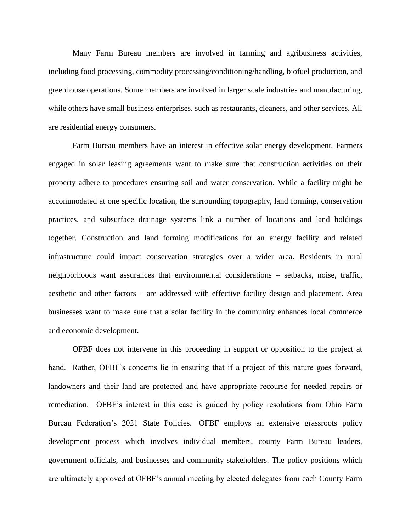Many Farm Bureau members are involved in farming and agribusiness activities, including food processing, commodity processing/conditioning/handling, biofuel production, and greenhouse operations. Some members are involved in larger scale industries and manufacturing, while others have small business enterprises, such as restaurants, cleaners, and other services. All are residential energy consumers.

Farm Bureau members have an interest in effective solar energy development. Farmers engaged in solar leasing agreements want to make sure that construction activities on their property adhere to procedures ensuring soil and water conservation. While a facility might be accommodated at one specific location, the surrounding topography, land forming, conservation practices, and subsurface drainage systems link a number of locations and land holdings together. Construction and land forming modifications for an energy facility and related infrastructure could impact conservation strategies over a wider area. Residents in rural neighborhoods want assurances that environmental considerations – setbacks, noise, traffic, aesthetic and other factors – are addressed with effective facility design and placement. Area businesses want to make sure that a solar facility in the community enhances local commerce and economic development.

OFBF does not intervene in this proceeding in support or opposition to the project at hand. Rather, OFBF's concerns lie in ensuring that if a project of this nature goes forward, landowners and their land are protected and have appropriate recourse for needed repairs or remediation. OFBF's interest in this case is guided by policy resolutions from Ohio Farm Bureau Federation's 2021 State Policies. OFBF employs an extensive grassroots policy development process which involves individual members, county Farm Bureau leaders, government officials, and businesses and community stakeholders. The policy positions which are ultimately approved at OFBF's annual meeting by elected delegates from each County Farm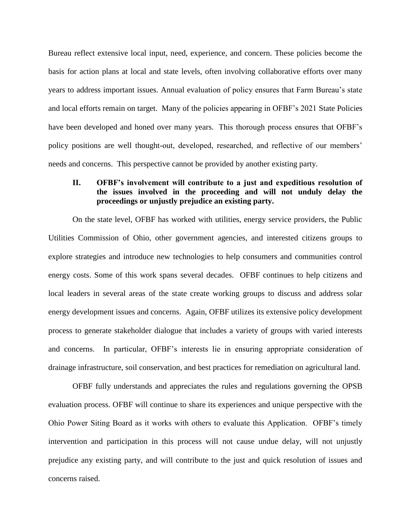Bureau reflect extensive local input, need, experience, and concern. These policies become the basis for action plans at local and state levels, often involving collaborative efforts over many years to address important issues. Annual evaluation of policy ensures that Farm Bureau's state and local efforts remain on target. Many of the policies appearing in OFBF's 2021 State Policies have been developed and honed over many years. This thorough process ensures that OFBF's policy positions are well thought-out, developed, researched, and reflective of our members' needs and concerns. This perspective cannot be provided by another existing party.

### **II. OFBF's involvement will contribute to a just and expeditious resolution of the issues involved in the proceeding and will not unduly delay the proceedings or unjustly prejudice an existing party.**

On the state level, OFBF has worked with utilities, energy service providers, the Public Utilities Commission of Ohio, other government agencies, and interested citizens groups to explore strategies and introduce new technologies to help consumers and communities control energy costs. Some of this work spans several decades. OFBF continues to help citizens and local leaders in several areas of the state create working groups to discuss and address solar energy development issues and concerns. Again, OFBF utilizes its extensive policy development process to generate stakeholder dialogue that includes a variety of groups with varied interests and concerns. In particular, OFBF's interests lie in ensuring appropriate consideration of drainage infrastructure, soil conservation, and best practices for remediation on agricultural land.

OFBF fully understands and appreciates the rules and regulations governing the OPSB evaluation process. OFBF will continue to share its experiences and unique perspective with the Ohio Power Siting Board as it works with others to evaluate this Application. OFBF's timely intervention and participation in this process will not cause undue delay, will not unjustly prejudice any existing party, and will contribute to the just and quick resolution of issues and concerns raised.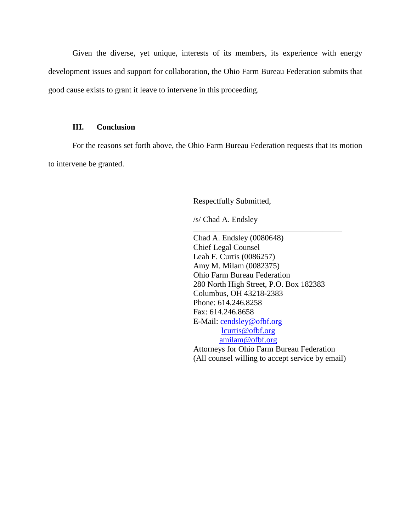Given the diverse, yet unique, interests of its members, its experience with energy development issues and support for collaboration, the Ohio Farm Bureau Federation submits that good cause exists to grant it leave to intervene in this proceeding.

#### **III. Conclusion**

For the reasons set forth above, the Ohio Farm Bureau Federation requests that its motion to intervene be granted.

Respectfully Submitted,

/s/ Chad A. Endsley

Chad A. Endsley (0080648) Chief Legal Counsel Leah F. Curtis (0086257) Amy M. Milam (0082375) Ohio Farm Bureau Federation 280 North High Street, P.O. Box 182383 Columbus, OH 43218-2383 Phone: 614.246.8258 Fax: 614.246.8658 E-Mail: [cendsley@ofbf.org](mailto:LGearhardt@ofbf.org) [lcurtis@ofbf.org](mailto:lcurtis@ofbf.org) [amilam@ofbf.org](mailto:amilam@ofbf.org) Attorneys for Ohio Farm Bureau Federation (All counsel willing to accept service by email)

\_\_\_\_\_\_\_\_\_\_\_\_\_\_\_\_\_\_\_\_\_\_\_\_\_\_\_\_\_\_\_\_\_\_\_\_\_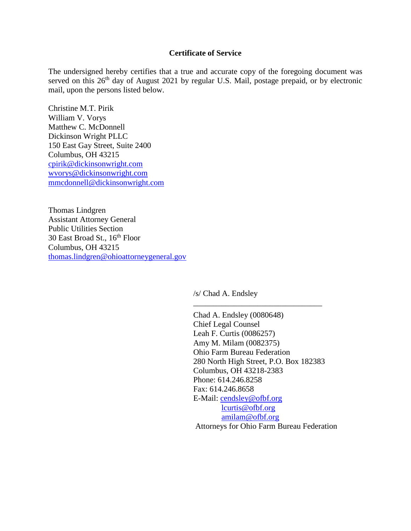#### **Certificate of Service**

The undersigned hereby certifies that a true and accurate copy of the foregoing document was served on this 26<sup>th</sup> day of August 2021 by regular U.S. Mail, postage prepaid, or by electronic mail, upon the persons listed below.

Christine M.T. Pirik William V. Vorys Matthew C. McDonnell Dickinson Wright PLLC 150 East Gay Street, Suite 2400 Columbus, OH 43215 [cpirik@dickinsonwright.com](mailto:cpirik@dickinsonwright.com) [wvorys@dickinsonwright.com](mailto:wvorys@dickinsonwright.com) [mmcdonnell@dickinsonwright.com](mailto:mmcdonnell@dickinsonwright.com)

Thomas Lindgren Assistant Attorney General Public Utilities Section 30 East Broad St., 16<sup>th</sup> Floor Columbus, OH 43215 [thomas.lindgren@ohioattorneygeneral.gov](mailto:thomas.lindgren@ohioattorneygeneral.gov)

/s/ Chad A. Endsley

Chad A. Endsley (0080648) Chief Legal Counsel Leah F. Curtis (0086257) Amy M. Milam (0082375) Ohio Farm Bureau Federation 280 North High Street, P.O. Box 182383 Columbus, OH 43218-2383 Phone: 614.246.8258 Fax: 614.246.8658 E-Mail: [cendsley@ofbf.org](mailto:LGearhardt@ofbf.org) [lcurtis@ofbf.org](mailto:lcurtis@ofbf.org) [amilam@ofbf.org](mailto:amilam@ofbf.org)

\_\_\_\_\_\_\_\_\_\_\_\_\_\_\_\_\_\_\_\_\_\_\_\_\_\_\_\_\_\_\_\_

Attorneys for Ohio Farm Bureau Federation